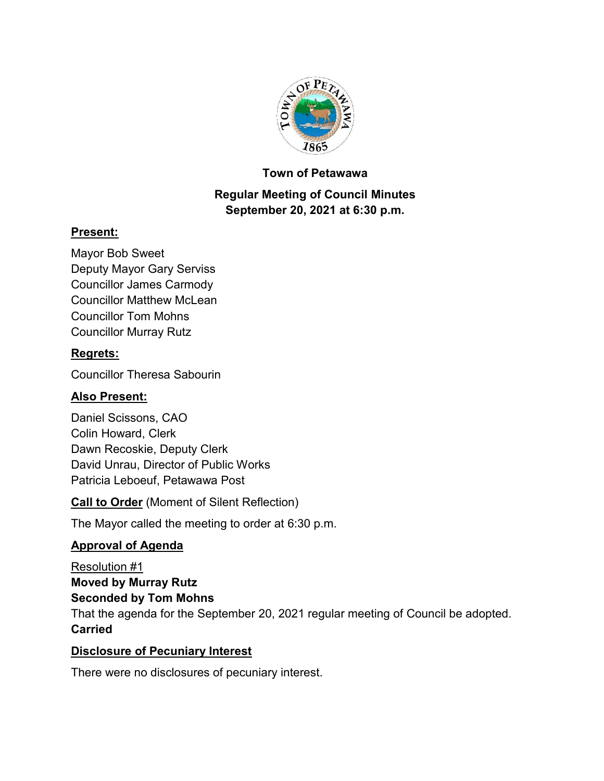

#### **Town of Petawawa**

# **Regular Meeting of Council Minutes September 20, 2021 at 6:30 p.m.**

### **Present:**

Mayor Bob Sweet Deputy Mayor Gary Serviss Councillor James Carmody Councillor Matthew McLean Councillor Tom Mohns Councillor Murray Rutz

### **Regrets:**

Councillor Theresa Sabourin

# **Also Present:**

Daniel Scissons, CAO Colin Howard, Clerk Dawn Recoskie, Deputy Clerk David Unrau, Director of Public Works Patricia Leboeuf, Petawawa Post

**Call to Order** (Moment of Silent Reflection)

The Mayor called the meeting to order at 6:30 p.m.

# **Approval of Agenda**

Resolution #1 **Moved by Murray Rutz Seconded by Tom Mohns** That the agenda for the September 20, 2021 regular meeting of Council be adopted. **Carried**

#### **Disclosure of Pecuniary Interest**

There were no disclosures of pecuniary interest.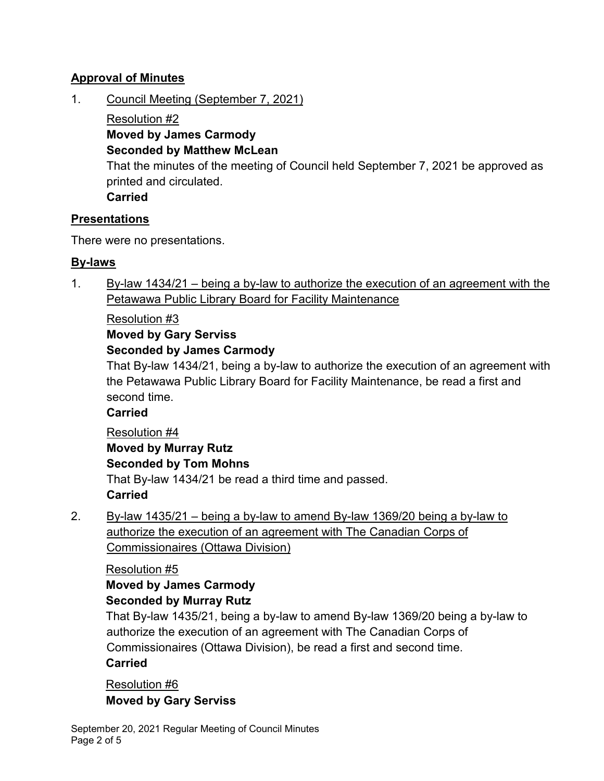## **Approval of Minutes**

1. Council Meeting (September 7, 2021)

Resolution #2 **Moved by James Carmody Seconded by Matthew McLean**

That the minutes of the meeting of Council held September 7, 2021 be approved as printed and circulated.

**Carried**

### **Presentations**

There were no presentations.

### **By-laws**

1. By-law  $1434/21$  – being a by-law to authorize the execution of an agreement with the Petawawa Public Library Board for Facility Maintenance

### Resolution #3

# **Moved by Gary Serviss**

### **Seconded by James Carmody**

That By-law 1434/21, being a by-law to authorize the execution of an agreement with the Petawawa Public Library Board for Facility Maintenance, be read a first and second time.

# **Carried**

Resolution #4 **Moved by Murray Rutz Seconded by Tom Mohns** That By-law 1434/21 be read a third time and passed. **Carried**

2. By-law 1435/21 – being a by-law to amend By-law 1369/20 being a by-law to authorize the execution of an agreement with The Canadian Corps of Commissionaires (Ottawa Division)

# Resolution #5

# **Moved by James Carmody**

# **Seconded by Murray Rutz**

That By-law 1435/21, being a by-law to amend By-law 1369/20 being a by-law to authorize the execution of an agreement with The Canadian Corps of Commissionaires (Ottawa Division), be read a first and second time. **Carried**

# Resolution #6 **Moved by Gary Serviss**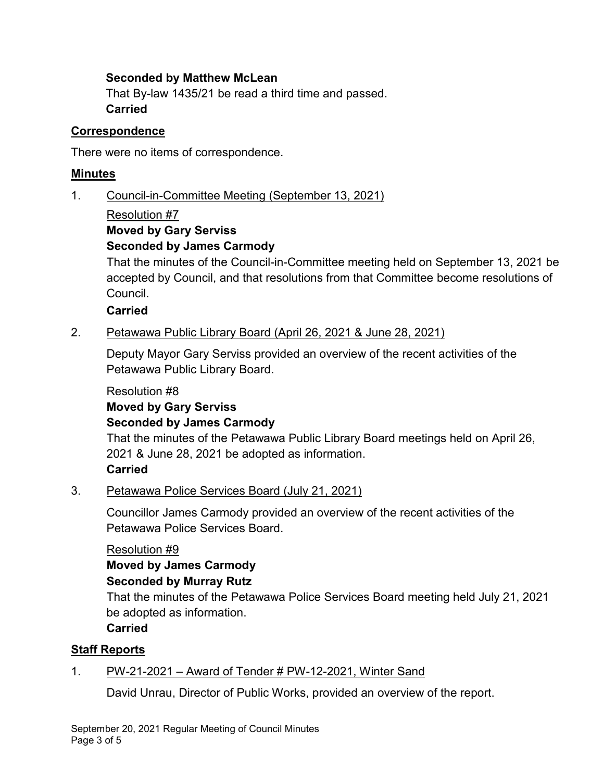#### **Seconded by Matthew McLean**

That By-law 1435/21 be read a third time and passed. **Carried**

#### **Correspondence**

There were no items of correspondence.

#### **Minutes**

1. Council-in-Committee Meeting (September 13, 2021)

#### Resolution #7

# **Moved by Gary Serviss**

### **Seconded by James Carmody**

That the minutes of the Council-in-Committee meeting held on September 13, 2021 be accepted by Council, and that resolutions from that Committee become resolutions of Council.

#### **Carried**

2. Petawawa Public Library Board (April 26, 2021 & June 28, 2021)

Deputy Mayor Gary Serviss provided an overview of the recent activities of the Petawawa Public Library Board.

#### Resolution #8

# **Moved by Gary Serviss Seconded by James Carmody**

That the minutes of the Petawawa Public Library Board meetings held on April 26, 2021 & June 28, 2021 be adopted as information. **Carried**

#### 3. Petawawa Police Services Board (July 21, 2021)

Councillor James Carmody provided an overview of the recent activities of the Petawawa Police Services Board.

#### Resolution #9

# **Moved by James Carmody**

#### **Seconded by Murray Rutz**

That the minutes of the Petawawa Police Services Board meeting held July 21, 2021 be adopted as information.

#### **Carried**

#### **Staff Reports**

#### 1. PW-21-2021 – Award of Tender # PW-12-2021, Winter Sand

David Unrau, Director of Public Works, provided an overview of the report.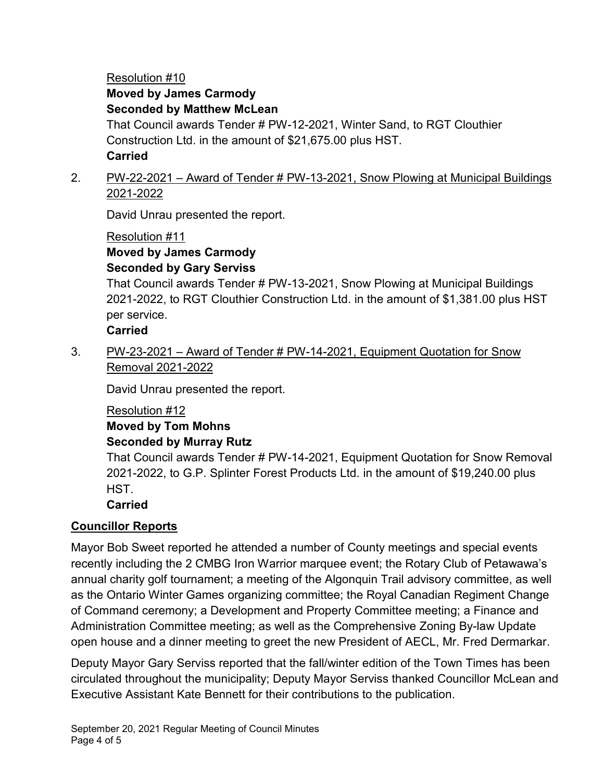# Resolution #10

# **Moved by James Carmody**

# **Seconded by Matthew McLean**

That Council awards Tender # PW-12-2021, Winter Sand, to RGT Clouthier Construction Ltd. in the amount of \$21,675.00 plus HST. **Carried**

# 2. PW-22-2021 – Award of Tender # PW-13-2021, Snow Plowing at Municipal Buildings 2021-2022

David Unrau presented the report.

#### Resolution #11 **Moved by James Carmody Seconded by Gary Serviss**

That Council awards Tender # PW-13-2021, Snow Plowing at Municipal Buildings 2021-2022, to RGT Clouthier Construction Ltd. in the amount of \$1,381.00 plus HST per service.

# **Carried**

3. PW-23-2021 – Award of Tender # PW-14-2021, Equipment Quotation for Snow Removal 2021-2022

David Unrau presented the report.

# Resolution #12

#### **Moved by Tom Mohns Seconded by Murray Rutz**

That Council awards Tender # PW-14-2021, Equipment Quotation for Snow Removal 2021-2022, to G.P. Splinter Forest Products Ltd. in the amount of \$19,240.00 plus HST.

# **Carried**

# **Councillor Reports**

Mayor Bob Sweet reported he attended a number of County meetings and special events recently including the 2 CMBG Iron Warrior marquee event; the Rotary Club of Petawawa's annual charity golf tournament; a meeting of the Algonquin Trail advisory committee, as well as the Ontario Winter Games organizing committee; the Royal Canadian Regiment Change of Command ceremony; a Development and Property Committee meeting; a Finance and Administration Committee meeting; as well as the Comprehensive Zoning By-law Update open house and a dinner meeting to greet the new President of AECL, Mr. Fred Dermarkar.

Deputy Mayor Gary Serviss reported that the fall/winter edition of the Town Times has been circulated throughout the municipality; Deputy Mayor Serviss thanked Councillor McLean and Executive Assistant Kate Bennett for their contributions to the publication.